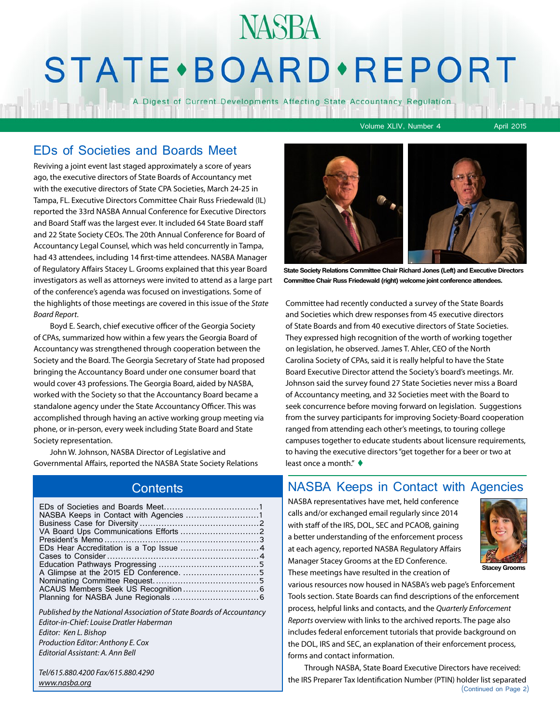## **NASBA STATE** · BOARD · REPORT

A Digest of Current Developments Affecting State Accountancy Regulation

Volume XLIV, Number 4 April 2015

#### EDs of Societies and Boards Meet

Reviving a joint event last staged approximately a score of years ago, the executive directors of State Boards of Accountancy met with the executive directors of State CPA Societies, March 24-25 in Tampa, FL. Executive Directors Committee Chair Russ Friedewald (IL) reported the 33rd NASBA Annual Conference for Executive Directors and Board Staff was the largest ever. It included 64 State Board staff and 22 State Society CEOs. The 20th Annual Conference for Board of Accountancy Legal Counsel, which was held concurrently in Tampa, had 43 attendees, including 14 first-time attendees. NASBA Manager of Regulatory Affairs Stacey L. Grooms explained that this year Board investigators as well as attorneys were invited to attend as a large part of the conference's agenda was focused on investigations. Some of the highlights of those meetings are covered in this issue of the *State Board Report*.

Boyd E. Search, chief executive officer of the Georgia Society of CPAs, summarized how within a few years the Georgia Board of Accountancy was strengthened through cooperation between the Society and the Board. The Georgia Secretary of State had proposed bringing the Accountancy Board under one consumer board that would cover 43 professions. The Georgia Board, aided by NASBA, worked with the Society so that the Accountancy Board became a standalone agency under the State Accountancy Officer. This was accomplished through having an active working group meeting via phone, or in-person, every week including State Board and State Society representation.

John W. Johnson, NASBA Director of Legislative and Governmental Affairs, reported the NASBA State Society Relations

#### **Contents**

*Published by the National Association of State Boards of Accountancy Editor-in-Chief: Louise Dratler Haberman Editor: Ken L. Bishop Production Editor: Anthony E. Cox Editorial Assistant: A. Ann Bell* 

*Tel/615.880.4200 Fax/615.880.4290 [www.nasba.org](http://www.nasba.org)*



**State Society Relations Committee Chair Richard Jones (Left) and Executive Directors Committee Chair Russ Friedewald (right) welcome joint conference attendees.** 

Committee had recently conducted a survey of the State Boards and Societies which drew responses from 45 executive directors of State Boards and from 40 executive directors of State Societies. They expressed high recognition of the worth of working together on legislation, he observed. James T. Ahler, CEO of the North Carolina Society of CPAs, said it is really helpful to have the State Board Executive Director attend the Society's board's meetings. Mr. Johnson said the survey found 27 State Societies never miss a Board of Accountancy meeting, and 32 Societies meet with the Board to seek concurrence before moving forward on legislation. Suggestions from the survey participants for improving Society-Board cooperation ranged from attending each other's meetings, to touring college campuses together to educate students about licensure requirements, to having the executive directors "get together for a beer or two at least once a month."  $\blacklozenge$ 

#### NASBA Keeps in Contact with Agencies

NASBA representatives have met, held conference calls and/or exchanged email regularly since 2014 with staff of the IRS, DOL, SEC and PCAOB, gaining a better understanding of the enforcement process at each agency, reported NASBA Regulatory Affairs Manager Stacey Grooms at the ED Conference. These meetings have resulted in the creation of



**Stacey Grooms**

various resources now housed in NASBA's web page's Enforcement Tools section. State Boards can find descriptions of the enforcement process, helpful links and contacts, and the *Quarterly Enforcement Reports* overview with links to the archived reports. The page also includes federal enforcement tutorials that provide background on the DOL, IRS and SEC, an explanation of their enforcement process, forms and contact information.

(Continued on Page 2) Through NASBA, State Board Executive Directors have received: the IRS Preparer Tax Identification Number (PTIN) holder list separated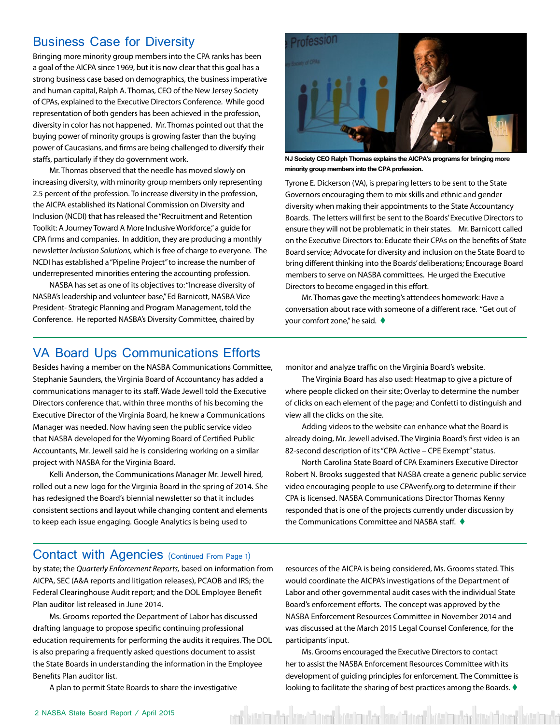#### <span id="page-1-0"></span>Business Case for Diversity

Bringing more minority group members into the CPA ranks has been a goal of the AICPA since 1969, but it is now clear that this goal has a strong business case based on demographics, the business imperative and human capital, Ralph A. Thomas, CEO of the New Jersey Society of CPAs, explained to the Executive Directors Conference. While good representation of both genders has been achieved in the profession, diversity in color has not happened. Mr. Thomas pointed out that the buying power of minority groups is growing faster than the buying power of Caucasians, and firms are being challenged to diversify their staffs, particularly if they do government work.

Mr. Thomas observed that the needle has moved slowly on increasing diversity, with minority group members only representing 2.5 percent of the profession. To increase diversity in the profession, the AICPA established its National Commission on Diversity and Inclusion (NCDI) that has released the "Recruitment and Retention Toolkit: A Journey Toward A More Inclusive Workforce," a guide for CPA firms and companies. In addition, they are producing a monthly newsletter *Inclusion Solutions*, which is free of charge to everyone. The NCDI has established a "Pipeline Project" to increase the number of underrepresented minorities entering the accounting profession.

NASBA has set as one of its objectives to: "Increase diversity of NASBA's leadership and volunteer base," Ed Barnicott, NASBA Vice President- Strategic Planning and Program Management, told the Conference. He reported NASBA's Diversity Committee, chaired by



**NJ Society CEO Ralph Thomas explains the AICPA's programs for bringing more minority group members into the CPA profession.**

Tyrone E. Dickerson (VA), is preparing letters to be sent to the State Governors encouraging them to mix skills and ethnic and gender diversity when making their appointments to the State Accountancy Boards. The letters will first be sent to the Boards' Executive Directors to ensure they will not be problematic in their states. Mr. Barnicott called on the Executive Directors to: Educate their CPAs on the benefits of State Board service; Advocate for diversity and inclusion on the State Board to bring different thinking into the Boards' deliberations; Encourage Board members to serve on NASBA committees. He urged the Executive Directors to become engaged in this effort.

Mr. Thomas gave the meeting's attendees homework: Have a conversation about race with someone of a different race. "Get out of your comfort zone," he said.  $\blacklozenge$ 

#### VA Board Ups Communications Efforts

Besides having a member on the NASBA Communications Committee, Stephanie Saunders, the Virginia Board of Accountancy has added a communications manager to its staff. Wade Jewell told the Executive Directors conference that, within three months of his becoming the Executive Director of the Virginia Board, he knew a Communications Manager was needed. Now having seen the public service video that NASBA developed for the Wyoming Board of Certified Public Accountants, Mr. Jewell said he is considering working on a similar project with NASBA for the Virginia Board.

Kelli Anderson, the Communications Manager Mr. Jewell hired, rolled out a new logo for the Virginia Board in the spring of 2014. She has redesigned the Board's biennial newsletter so that it includes consistent sections and layout while changing content and elements to keep each issue engaging. Google Analytics is being used to

monitor and analyze traffic on the Virginia Board's website.

The Virginia Board has also used: Heatmap to give a picture of where people clicked on their site; Overlay to determine the number of clicks on each element of the page; and Confetti to distinguish and view all the clicks on the site.

Adding videos to the website can enhance what the Board is already doing, Mr. Jewell advised. The Virginia Board's first video is an 82-second description of its "CPA Active – CPE Exempt" status.

North Carolina State Board of CPA Examiners Executive Director Robert N. Brooks suggested that NASBA create a generic public service video encouraging people to use CPAverify.org to determine if their CPA is licensed. NASBA Communications Director Thomas Kenny responded that is one of the projects currently under discussion by the Communications Committee and NASBA staff.  $\blacklozenge$ 

#### Contact with Agencies (Continued From Page 1)

by state; the *Quarterly Enforcement Reports,* based on information from AICPA, SEC (A&A reports and litigation releases), PCAOB and IRS; the Federal Clearinghouse Audit report; and the DOL Employee Benefit Plan auditor list released in June 2014.

Ms. Grooms reported the Department of Labor has discussed drafting language to propose specific continuing professional education requirements for performing the audits it requires. The DOL is also preparing a frequently asked questions document to assist the State Boards in understanding the information in the Employee Benefits Plan auditor list.

A plan to permit State Boards to share the investigative

resources of the AICPA is being considered, Ms. Grooms stated. This would coordinate the AICPA's investigations of the Department of Labor and other governmental audit cases with the individual State Board's enforcement efforts. The concept was approved by the NASBA Enforcement Resources Committee in November 2014 and was discussed at the March 2015 Legal Counsel Conference, for the participants' input.

Ms. Grooms encouraged the Executive Directors to contact her to assist the NASBA Enforcement Resources Committee with its development of guiding principles for enforcement. The Committee is looking to facilitate the sharing of best practices among the Boards.  $\blacklozenge$ 

at bod and bod and other and bod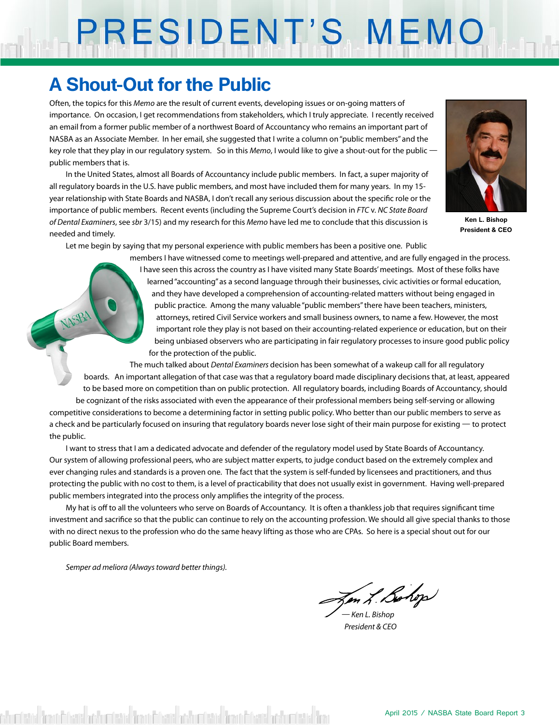# PRESIDENT'S MEMO

## **A Shout-Out for the Public**

Often, the topics for this *Memo* are the result of current events, developing issues or on-going matters of importance. On occasion, I get recommendations from stakeholders, which I truly appreciate. I recently received an email from a former public member of a northwest Board of Accountancy who remains an important part of NASBA as an Associate Member. In her email, she suggested that I write a column on "public members" and the key role that they play in our regulatory system. So in this *Memo*, I would like to give a shout-out for the public public members that is.

In the United States, almost all Boards of Accountancy include public members. In fact, a super majority of all regulatory boards in the U.S. have public members, and most have included them for many years. In my 15 year relationship with State Boards and NASBA, I don't recall any serious discussion about the specific role or the importance of public members. Recent events (including the Supreme Court's decision in *FTC* v. *NC State Board of Dental Examiners*, see *sbr* 3/15) and my research for this *Memo* have led me to conclude that this discussion is needed and timely.



**Ken L. Bishop President & CEO**

Let me begin by saying that my personal experience with public members has been a positive one. Public

members I have witnessed come to meetings well-prepared and attentive, and are fully engaged in the process. I have seen this across the country as I have visited many State Boards' meetings. Most of these folks have learned "accounting" as a second language through their businesses, civic activities or formal education, and they have developed a comprehension of accounting-related matters without being engaged in public practice. Among the many valuable "public members" there have been teachers, ministers, attorneys, retired Civil Service workers and small business owners, to name a few. However, the most important role they play is not based on their accounting-related experience or education, but on their being unbiased observers who are participating in fair regulatory processes to insure good public policy for the protection of the public.

The much talked about *Dental Examiners* decision has been somewhat of a wakeup call for all regulatory boards. An important allegation of that case was that a regulatory board made disciplinary decisions that, at least, appeared to be based more on competition than on public protection. All regulatory boards, including Boards of Accountancy, should be cognizant of the risks associated with even the appearance of their professional members being self-serving or allowing competitive considerations to become a determining factor in setting public policy. Who better than our public members to serve as a check and be particularly focused on insuring that regulatory boards never lose sight of their main purpose for existing — to protect the public.

I want to stress that I am a dedicated advocate and defender of the regulatory model used by State Boards of Accountancy. Our system of allowing professional peers, who are subject matter experts, to judge conduct based on the extremely complex and ever changing rules and standards is a proven one. The fact that the system is self-funded by licensees and practitioners, and thus protecting the public with no cost to them, is a level of practicability that does not usually exist in government. Having well-prepared public members integrated into the process only amplifies the integrity of the process.

My hat is off to all the volunteers who serve on Boards of Accountancy. It is often a thankless job that requires significant time investment and sacrifice so that the public can continue to rely on the accounting profession. We should all give special thanks to those with no direct nexus to the profession who do the same heavy lifting as those who are CPAs. So here is a special shout out for our public Board members.

*Semper ad meliora (Always toward better things).*

NASB

on L. Bohop

*— Ken L. Bishop President & CEO*

distink firm it finantsk och undertide framt filmsta kollumist for den filmstandels for destaller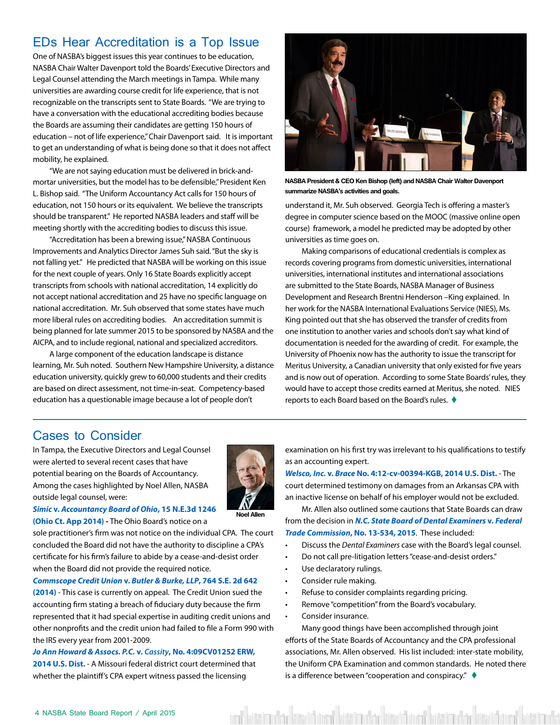#### <span id="page-3-0"></span>EDs Hear Accreditation is a Top Issue

One of NASBA's biggest issues this year continues to be education, NASBA Chair Walter Davenport told the Boards' Executive Directors and Legal Counsel attending the March meetings in Tampa. While many universities are awarding course credit for life experience, that is not recognizable on the transcripts sent to State Boards. "We are trying to have a conversation with the educational accrediting bodies because the Boards are assuming their candidates are getting 150 hours of education – not of life experience," Chair Davenport said. It is important to get an understanding of what is being done so that it does not affect mobility, he explained.

"We are not saying education must be delivered in brick-andmortar universities, but the model has to be defensible," President Ken L. Bishop said. "The Uniform Accountancy Act calls for 150 hours of education, not 150 hours or its equivalent. We believe the transcripts should be transparent." He reported NASBA leaders and staff will be meeting shortly with the accrediting bodies to discuss this issue.

"Accreditation has been a brewing issue," NASBA Continuous Improvements and Analytics Director James Suh said. "But the sky is not falling yet." He predicted that NASBA will be working on this issue for the next couple of years. Only 16 State Boards explicitly accept transcripts from schools with national accreditation, 14 explicitly do not accept national accreditation and 25 have no specific language on national accreditation. Mr. Suh observed that some states have much more liberal rules on accrediting bodies. An accreditation summit is being planned for late summer 2015 to be sponsored by NASBA and the AICPA, and to include regional, national and specialized accreditors.

A large component of the education landscape is distance learning, Mr. Suh noted. Southern New Hampshire University, a distance education university, quickly grew to 60,000 students and their credits are based on direct assessment, not time-in-seat. Competency-based education has a questionable image because a lot of people don't



**NASBA President & CEO Ken Bishop (left) and NASBA Chair Walter Davenport summarize NASBA's activities and goals.** 

understand it, Mr. Suh observed. Georgia Tech is offering a master's degree in computer science based on the MOOC (massive online open course) framework, a model he predicted may be adopted by other universities as time goes on.

Making comparisons of educational credentials is complex as records covering programs from domestic universities, international universities, international institutes and international associations are submitted to the State Boards, NASBA Manager of Business Development and Research Brentni Henderson –King explained. In her work for the NASBA International Evaluations Service (NIES), Ms. King pointed out that she has observed the transfer of credits from one institution to another varies and schools don't say what kind of documentation is needed for the awarding of credit. For example, the University of Phoenix now has the authority to issue the transcript for Meritus University, a Canadian university that only existed for five years and is now out of operation. According to some State Boards' rules, they would have to accept those credits earned at Meritus, she noted. NIES reports to each Board based on the Board's rules.  $\blacklozenge$ 

#### Cases to Consider

In Tampa, the Executive Directors and Legal Counsel were alerted to several recent cases that have potential bearing on the Boards of Accountancy. Among the cases highlighted by Noel Allen, NASBA outside legal counsel, were:



*Simic* **v.** *Accountancy Board of Ohio***, 15 N.E.3d 1246 (Ohio Ct. App 2014) -** The Ohio Board's notice on a

sole practitioner's firm was not notice on the individual CPA. The court concluded the Board did not have the authority to discipline a CPA's certificate for his firm's failure to abide by a cease-and-desist order when the Board did not provide the required notice.

#### *Commscope Credit Union* **v.** *Butler & Burke, LLP***, 764 S.E. 2d 642**

**(2014)** - This case is currently on appeal. The Credit Union sued the accounting firm stating a breach of fiduciary duty because the firm represented that it had special expertise in auditing credit unions and other nonprofits and the credit union had failed to file a Form 990 with the IRS every year from 2001-2009.

*Jo Ann Howard & Assocs. P.C.* **v.** *Cassity***, No. 4:09CV01252 ERW, 2014 U.S. Dist.** - A Missouri federal district court determined that whether the plaintiff's CPA expert witness passed the licensing

examination on his first try was irrelevant to his qualifications to testify as an accounting expert.

*Welsco, Inc.* **v.** *Brace* **No. 4:12-cv-00394-KGB, 2014 U.S. Dist.** - The court determined testimony on damages from an Arkansas CPA with an inactive license on behalf of his employer would not be excluded.

Mr. Allen also outlined some cautions that State Boards can draw from the decision in *N.C. State Board of Dental Examiners* **v.** *Federal Trade Commission***, No. 13-534, 2015**. These included:

- Discuss the *Dental Examiners* case with the Board's legal counsel.
- Do not call pre-litigation letters "cease-and-desist orders."
- Use declaratory rulings.
- Consider rule making.
- Refuse to consider complaints regarding pricing.
- Remove "competition" from the Board's vocabulary.
- Consider insurance.

Many good things have been accomplished through joint efforts of the State Boards of Accountancy and the CPA professional associations, Mr. Allen observed. His list included: inter-state mobility, the Uniform CPA Examination and common standards. He noted there is a difference between "cooperation and conspiracy."  $\blacklozenge$ 

ata ba shi kasa isha ni bata maka kasa isha a ta kata na bar kasa kata bata na sh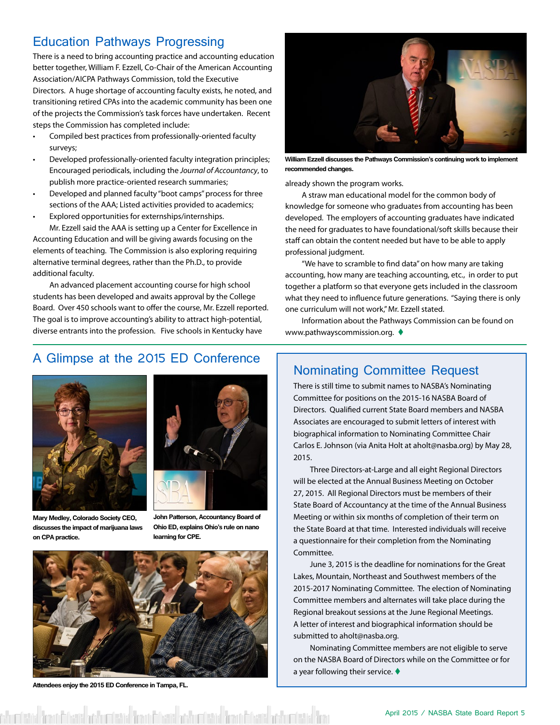#### <span id="page-4-0"></span>Education Pathways Progressing

There is a need to bring accounting practice and accounting education better together, William F. Ezzell, Co-Chair of the American Accounting Association/AICPA Pathways Commission, told the Executive Directors. A huge shortage of accounting faculty exists, he noted, and transitioning retired CPAs into the academic community has been one of the projects the Commission's task forces have undertaken. Recent steps the Commission has completed include:

- Compiled best practices from professionally-oriented faculty surveys;
- Developed professionally-oriented faculty integration principles; Encouraged periodicals, including the *Journal of Accountancy*, to publish more practice-oriented research summaries;
- Developed and planned faculty "boot camps" process for three sections of the AAA; Listed activities provided to academics;
- Explored opportunities for externships/internships. Mr. Ezzell said the AAA is setting up a Center for Excellence in

Accounting Education and will be giving awards focusing on the elements of teaching. The Commission is also exploring requiring alternative terminal degrees, rather than the Ph.D., to provide additional faculty.

An advanced placement accounting course for high school students has been developed and awaits approval by the College Board. Over 450 schools want to offer the course, Mr. Ezzell reported. The goal is to improve accounting's ability to attract high-potential, diverse entrants into the profession. Five schools in Kentucky have



**William Ezzell discusses the Pathways Commission's continuing work to implement recommended changes.**

already shown the program works.

A straw man educational model for the common body of knowledge for someone who graduates from accounting has been developed. The employers of accounting graduates have indicated the need for graduates to have foundational/soft skills because their staff can obtain the content needed but have to be able to apply professional judgment.

"We have to scramble to find data" on how many are taking accounting, how many are teaching accounting, etc., in order to put together a platform so that everyone gets included in the classroom what they need to influence future generations. "Saying there is only one curriculum will not work," Mr. Ezzell stated.

Information about the Pathways Commission can be found on www.pathwayscommission.org.  $\blacklozenge$ 

#### A Glimpse at the 2015 ED Conference







**John Patterson, Accountancy Board of Ohio ED, explains Ohio's rule on nano learning for CPE.**



**Attendees enjoy the 2015 ED Conference in Tampa, FL.** 

#### Nominating Committee Request

There is still time to submit names to NASBA's Nominating Committee for positions on the 2015-16 NASBA Board of Directors. Qualified current State Board members and NASBA Associates are encouraged to submit letters of interest with biographical information to Nominating Committee Chair Carlos E. Johnson (via Anita Holt at aholt@nasba.org) by May 28, 2015.

Three Directors-at-Large and all eight Regional Directors will be elected at the Annual Business Meeting on October 27, 2015. All Regional Directors must be members of their State Board of Accountancy at the time of the Annual Business Meeting or within six months of completion of their term on the State Board at that time. Interested individuals will receive a questionnaire for their completion from the Nominating Committee.

June 3, 2015 is the deadline for nominations for the Great Lakes, Mountain, Northeast and Southwest members of the 2015-2017 Nominating Committee. The election of Nominating Committee members and alternates will take place during the Regional breakout sessions at the June Regional Meetings. A letter of interest and biographical information should be submitted to aholt@nasba.org.

Nominating Committee members are not eligible to serve on the NASBA Board of Directors while on the Committee or for a year following their service.  $\blacklozenge$